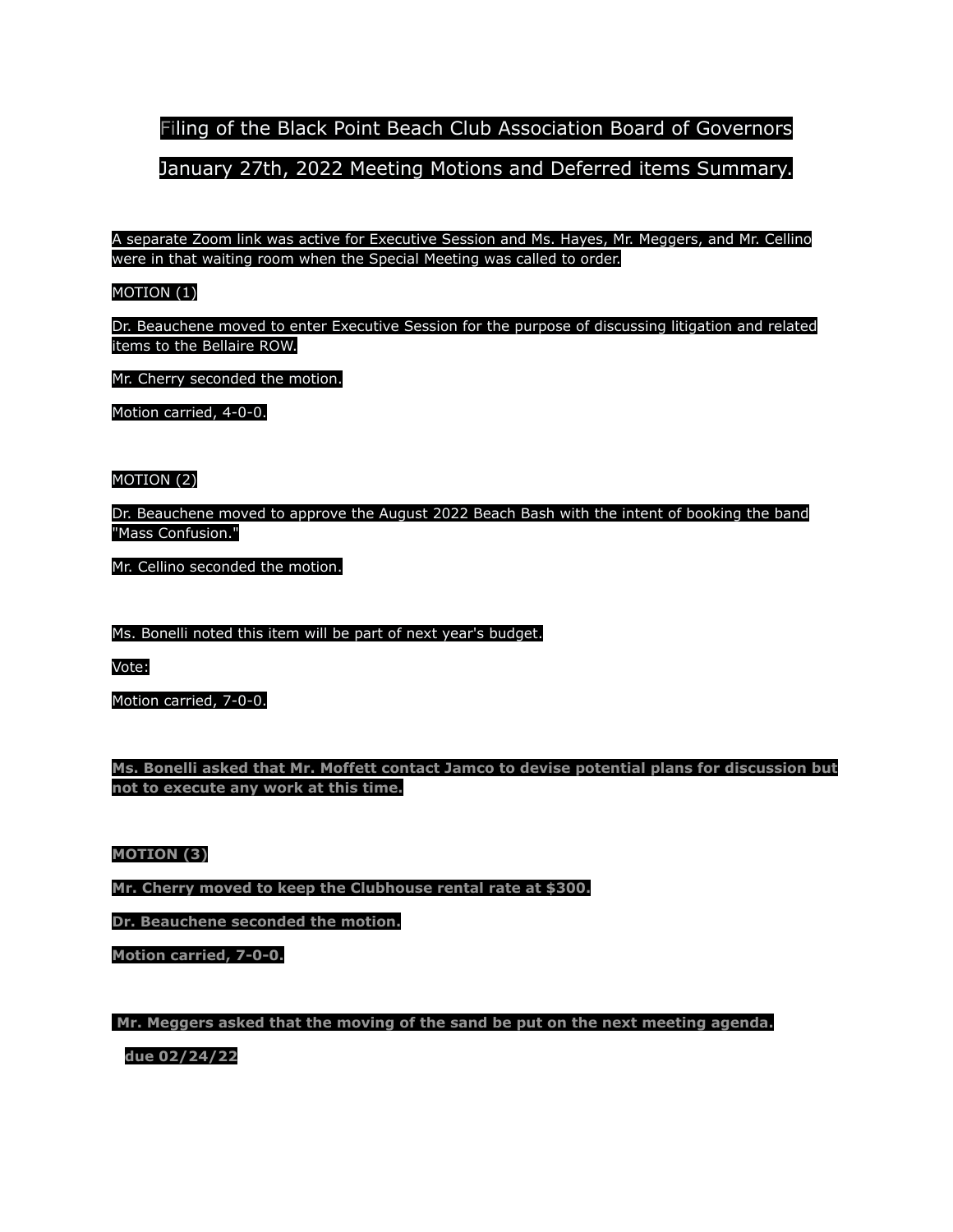Filing of the Black Point Beach Club Association Board of Governors

# January 27th, 2022 Meeting Motions and Deferred items Summary.

A separate Zoom link was active for Executive Session and Ms. Hayes, Mr. Meggers, and Mr. Cellino were in that waiting room when the Special Meeting was called to order.

# MOTION (1)

Dr. Beauchene moved to enter Executive Session for the purpose of discussing litigation and related items to the Bellaire ROW.

Mr. Cherry seconded the motion.

Motion carried, 4-0-0.

## MOTION (2)

Dr. Beauchene moved to approve the August 2022 Beach Bash with the intent of booking the band "Mass Confusion."

Mr. Cellino seconded the motion.

Ms. Bonelli noted this item will be part of next year's budget.

Vote:

Motion carried, 7-0-0.

**Ms. Bonelli asked that Mr. Moffett contact Jamco to devise potential plans for discussion but not to execute any work at this time.**

### **MOTION (3)**

**Mr. Cherry moved to keep the Clubhouse rental rate at \$300.**

**Dr. Beauchene seconded the motion.**

**Motion carried, 7-0-0.**

**Mr. Meggers asked that the moving of the sand be put on the next meeting agenda.**

**due 02/24/22**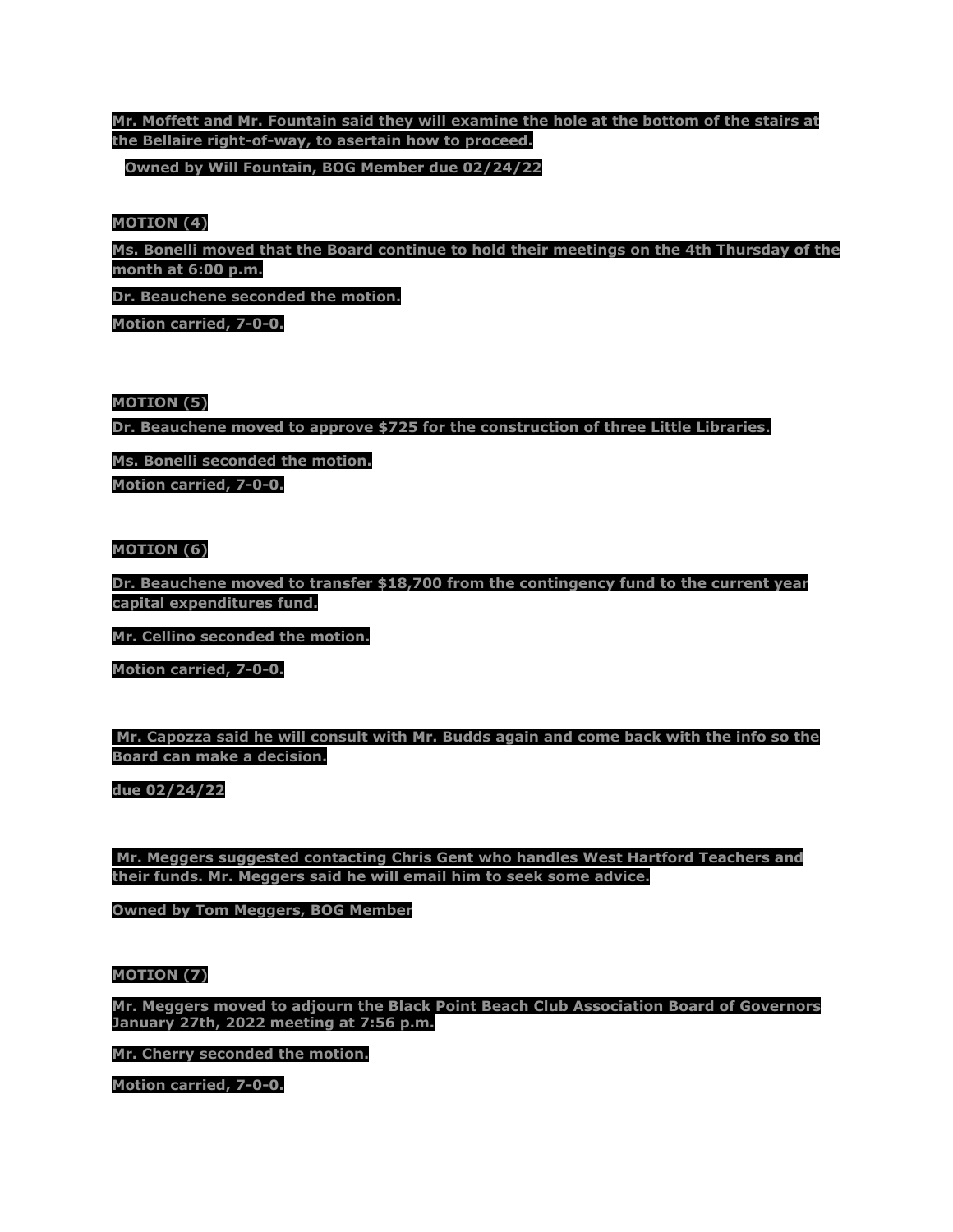# **Mr. Moffett and Mr. Fountain said they will examine the hole at the bottom of the stairs at the Bellaire right-of-way, to asertain how to proceed.**

**Owned by Will Fountain, BOG Member due 02/24/22**

#### **MOTION (4)**

**Ms. Bonelli moved that the Board continue to hold their meetings on the 4th Thursday of the month at 6:00 p.m.**

**Dr. Beauchene seconded the motion.**

**Motion carried, 7-0-0.**

#### **MOTION (5)**

**Dr. Beauchene moved to approve \$725 for the construction of three Little Libraries.**

**Ms. Bonelli seconded the motion. Motion carried, 7-0-0.**

### **MOTION (6)**

**Dr. Beauchene moved to transfer \$18,700 from the contingency fund to the current year capital expenditures fund.**

**Mr. Cellino seconded the motion.**

**Motion carried, 7-0-0.**

**Mr. Capozza said he will consult with Mr. Budds again and come back with the info so the Board can make a decision.**

**due 02/24/22**

**Mr. Meggers suggested contacting Chris Gent who handles West Hartford Teachers and their funds. Mr. Meggers said he will email him to seek some advice.**

**Owned by Tom Meggers, BOG Member**

#### **MOTION (7)**

**Mr. Meggers moved to adjourn the Black Point Beach Club Association Board of Governors January 27th, 2022 meeting at 7:56 p.m.**

**Mr. Cherry seconded the motion.**

**Motion carried, 7-0-0.**